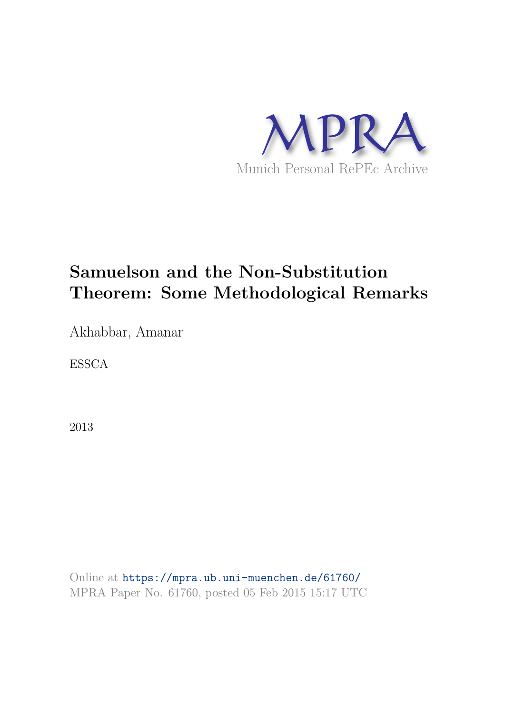

# **Samuelson and the Non-Substitution Theorem: Some Methodological Remarks**

Akhabbar, Amanar

ESSCA

2013

Online at https://mpra.ub.uni-muenchen.de/61760/ MPRA Paper No. 61760, posted 05 Feb 2015 15:17 UTC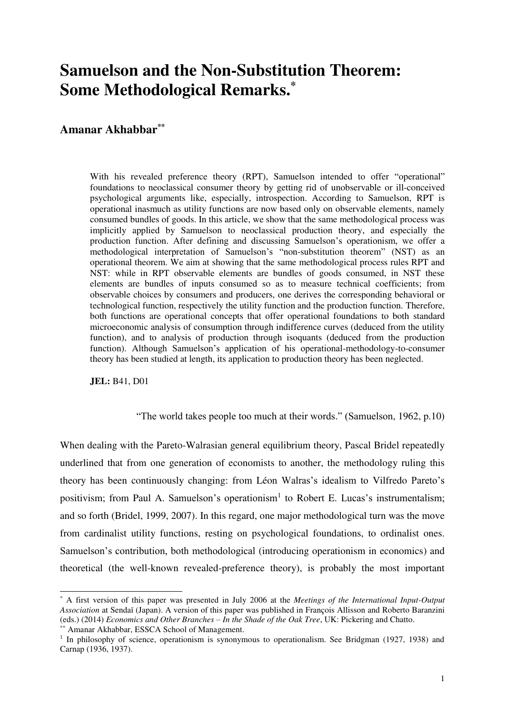## **Samuelson and the Non-Substitution Theorem: Some Methodological Remarks.\***

### **Amanar Akhabbar\*\***

With his revealed preference theory (RPT), Samuelson intended to offer "operational" foundations to neoclassical consumer theory by getting rid of unobservable or ill-conceived psychological arguments like, especially, introspection. According to Samuelson, RPT is operational inasmuch as utility functions are now based only on observable elements, namely consumed bundles of goods. In this article, we show that the same methodological process was implicitly applied by Samuelson to neoclassical production theory, and especially the production function. After defining and discussing Samuelson's operationism, we offer a methodological interpretation of Samuelson's "non-substitution theorem" (NST) as an operational theorem. We aim at showing that the same methodological process rules RPT and NST: while in RPT observable elements are bundles of goods consumed, in NST these elements are bundles of inputs consumed so as to measure technical coefficients; from observable choices by consumers and producers, one derives the corresponding behavioral or technological function, respectively the utility function and the production function. Therefore, both functions are operational concepts that offer operational foundations to both standard microeconomic analysis of consumption through indifference curves (deduced from the utility function), and to analysis of production through isoquants (deduced from the production function). Although Samuelson's application of his operational-methodology-to-consumer theory has been studied at length, its application to production theory has been neglected.

**JEL:** B41, D01

"The world takes people too much at their words." (Samuelson, 1962, p.10)

When dealing with the Pareto-Walrasian general equilibrium theory, Pascal Bridel repeatedly underlined that from one generation of economists to another, the methodology ruling this theory has been continuously changing: from Léon Walras's idealism to Vilfredo Pareto's positivism; from Paul A. Samuelson's operationism<sup>1</sup> to Robert E. Lucas's instrumentalism; and so forth (Bridel, 1999, 2007). In this regard, one major methodological turn was the move from cardinalist utility functions, resting on psychological foundations, to ordinalist ones. Samuelson's contribution, both methodological (introducing operationism in economics) and theoretical (the well-known revealed-preference theory), is probably the most important

<sup>\*</sup> A first version of this paper was presented in July 2006 at the *Meetings of the International Input-Output Association* at Sendaï (Japan). A version of this paper was published in François Allisson and Roberto Baranzini (eds.) (2014) *Economics and Other Branches – In the Shade of the Oak Tree*, UK: Pickering and Chatto.

<sup>\*\*</sup> Amanar Akhabbar, ESSCA School of Management.

<sup>&</sup>lt;sup>1</sup> In philosophy of science, operationism is synonymous to operationalism. See Bridgman (1927, 1938) and Carnap (1936, 1937).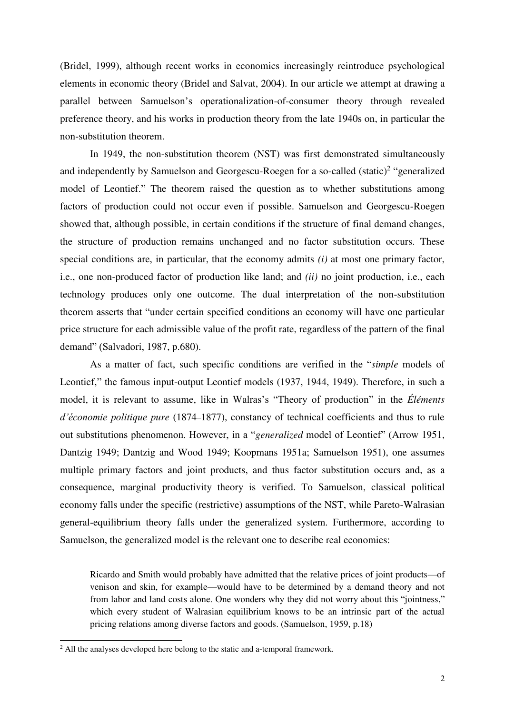(Bridel, 1999), although recent works in economics increasingly reintroduce psychological elements in economic theory (Bridel and Salvat, 2004). In our article we attempt at drawing a parallel between Samuelson's operationalization-of-consumer theory through revealed preference theory, and his works in production theory from the late 1940s on, in particular the non-substitution theorem.

In 1949, the non-substitution theorem (NST) was first demonstrated simultaneously and independently by Samuelson and Georgescu-Roegen for a so-called  $(s\tt static)^2$  "generalized model of Leontief." The theorem raised the question as to whether substitutions among factors of production could not occur even if possible. Samuelson and Georgescu-Roegen showed that, although possible, in certain conditions if the structure of final demand changes, the structure of production remains unchanged and no factor substitution occurs. These special conditions are, in particular, that the economy admits *(i)* at most one primary factor, i.e., one non-produced factor of production like land; and *(ii)* no joint production, i.e., each technology produces only one outcome. The dual interpretation of the non-substitution theorem asserts that "under certain specified conditions an economy will have one particular price structure for each admissible value of the profit rate, regardless of the pattern of the final demand" (Salvadori, 1987, p.680).

As a matter of fact, such specific conditions are verified in the "*simple* models of Leontief," the famous input-output Leontief models (1937, 1944, 1949). Therefore, in such a model, it is relevant to assume, like in Walras's "Theory of production" in the *Éléments d'économie politique pure* (1874–1877), constancy of technical coefficients and thus to rule out substitutions phenomenon. However, in a "*generalized* model of Leontief" (Arrow 1951, Dantzig 1949; Dantzig and Wood 1949; Koopmans 1951a; Samuelson 1951), one assumes multiple primary factors and joint products, and thus factor substitution occurs and, as a consequence, marginal productivity theory is verified. To Samuelson, classical political economy falls under the specific (restrictive) assumptions of the NST, while Pareto-Walrasian general-equilibrium theory falls under the generalized system. Furthermore, according to Samuelson, the generalized model is the relevant one to describe real economies:

Ricardo and Smith would probably have admitted that the relative prices of joint products—of venison and skin, for example—would have to be determined by a demand theory and not from labor and land costs alone. One wonders why they did not worry about this "jointness," which every student of Walrasian equilibrium knows to be an intrinsic part of the actual pricing relations among diverse factors and goods. (Samuelson, 1959, p.18)

<sup>&</sup>lt;sup>2</sup> All the analyses developed here belong to the static and a-temporal framework.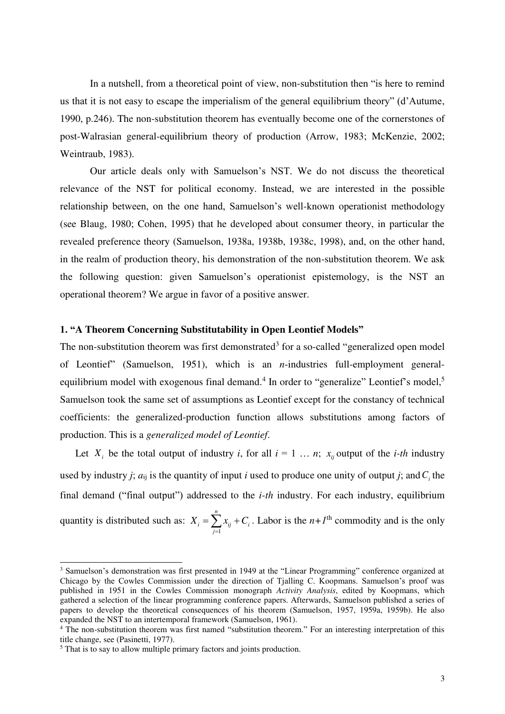In a nutshell, from a theoretical point of view, non-substitution then "is here to remind us that it is not easy to escape the imperialism of the general equilibrium theory" (d'Autume, 1990, p.246). The non-substitution theorem has eventually become one of the cornerstones of post-Walrasian general-equilibrium theory of production (Arrow, 1983; McKenzie, 2002; Weintraub, 1983).

Our article deals only with Samuelson's NST. We do not discuss the theoretical relevance of the NST for political economy. Instead, we are interested in the possible relationship between, on the one hand, Samuelson's well-known operationist methodology (see Blaug, 1980; Cohen, 1995) that he developed about consumer theory, in particular the revealed preference theory (Samuelson, 1938a, 1938b, 1938c, 1998), and, on the other hand, in the realm of production theory, his demonstration of the non-substitution theorem. We ask the following question: given Samuelson's operationist epistemology, is the NST an operational theorem? We argue in favor of a positive answer.

#### **1. "A Theorem Concerning Substitutability in Open Leontief Models"**

The non-substitution theorem was first demonstrated<sup>3</sup> for a so-called "generalized open model of Leontief" (Samuelson, 1951), which is an *n*-industries full-employment generalequilibrium model with exogenous final demand.<sup>4</sup> In order to "generalize" Leontief's model,<sup>5</sup> Samuelson took the same set of assumptions as Leontief except for the constancy of technical coefficients: the generalized-production function allows substitutions among factors of production. This is a *generalized model of Leontief*.

Let  $X_i$  be the total output of industry *i*, for all  $i = 1 \ldots n$ ;  $x_{ij}$  output of the *i-th* industry used by industry *j*;  $a_{ij}$  is the quantity of input *i* used to produce one unity of output *j*; and  $C<sub>i</sub>$  the final demand ("final output") addressed to the *i-th* industry. For each industry, equilibrium quantity is distributed such as: 1 *n*  $i = \sum_i \lambda_{ij} + \sum_i$ *j*  $X_i = \sum x_{ii} + C$  $=\sum_{j=1} x_{ij} + C_i$ . Labor is the *n*+*I*<sup>th</sup> commodity and is the only

<sup>&</sup>lt;sup>3</sup> Samuelson's demonstration was first presented in 1949 at the "Linear Programming" conference organized at Chicago by the Cowles Commission under the direction of Tjalling C. Koopmans. Samuelson's proof was published in 1951 in the Cowles Commission monograph *Activity Analysis*, edited by Koopmans, which gathered a selection of the linear programming conference papers. Afterwards, Samuelson published a series of papers to develop the theoretical consequences of his theorem (Samuelson, 1957, 1959a, 1959b). He also expanded the NST to an intertemporal framework (Samuelson, 1961).

<sup>&</sup>lt;sup>4</sup> The non-substitution theorem was first named "substitution theorem." For an interesting interpretation of this title change, see (Pasinetti, 1977).

<sup>&</sup>lt;sup>5</sup> That is to say to allow multiple primary factors and joints production.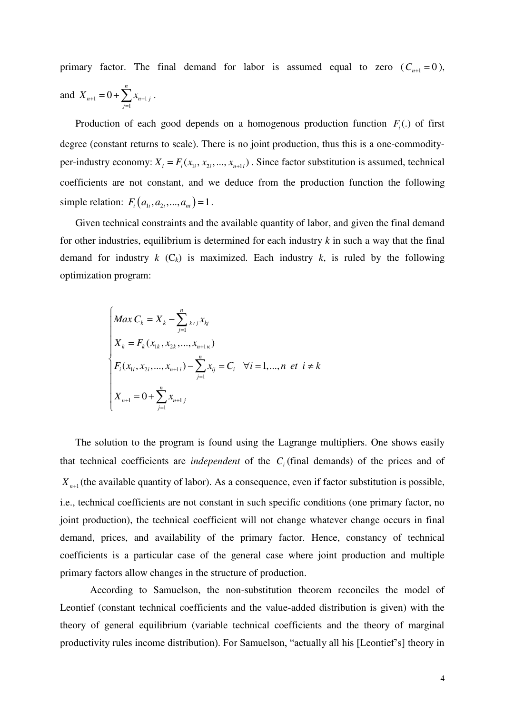primary factor. The final demand for labor is assumed equal to zero  $(C_{n+1} = 0)$ , and  $X_{n+1} = 0 + \sum_{n+1} X_{n+1}$ 1 0 *n*  $n+1$  –  $\cup$   $\cup$   $\mathcal{L}_{n+1}$  *j j*  $X_{n+1} = 0 + \sum x_{n+1}$  $= 0 + \sum_{j=1}^n x_{n+1 j}$ .

Production of each good depends on a homogenous production function  $F_i(.)$  of first degree (constant returns to scale). There is no joint production, thus this is a one-commodityper-industry economy:  $X_i = F_i(x_i, x_i, ..., x_{n+i})$ . Since factor substitution is assumed, technical coefficients are not constant, and we deduce from the production function the following simple relation:  $F_i(a_{i_1}, a_{i_2},..., a_{i_n}) = 1$ .

Given technical constraints and the available quantity of labor, and given the final demand for other industries, equilibrium is determined for each industry *k* in such a way that the final demand for industry  $k$  ( $C_k$ ) is maximized. Each industry  $k$ , is ruled by the following optimization program:

$$
\begin{cases}\nMax \ C_k = X_k - \sum_{j=1}^n x_{kj} x_{kj} \\
X_k = F_k(x_{1k}, x_{2k}, ..., x_{n+1k}) \\
F_i(x_{1i}, x_{2i}, ..., x_{n+1i}) - \sum_{j=1}^n x_{ij} = C_i \quad \forall i = 1, ..., n \text{ et } i \neq k \\
X_{n+1} = 0 + \sum_{j=1}^n x_{n+1j}\n\end{cases}
$$

The solution to the program is found using the Lagrange multipliers. One shows easily that technical coefficients are *independent* of the  $C<sub>i</sub>$  (final demands) of the prices and of  $X_{n+1}$  (the available quantity of labor). As a consequence, even if factor substitution is possible, i.e., technical coefficients are not constant in such specific conditions (one primary factor, no joint production), the technical coefficient will not change whatever change occurs in final demand, prices, and availability of the primary factor. Hence, constancy of technical coefficients is a particular case of the general case where joint production and multiple primary factors allow changes in the structure of production.

According to Samuelson, the non-substitution theorem reconciles the model of Leontief (constant technical coefficients and the value-added distribution is given) with the theory of general equilibrium (variable technical coefficients and the theory of marginal productivity rules income distribution). For Samuelson, "actually all his [Leontief's] theory in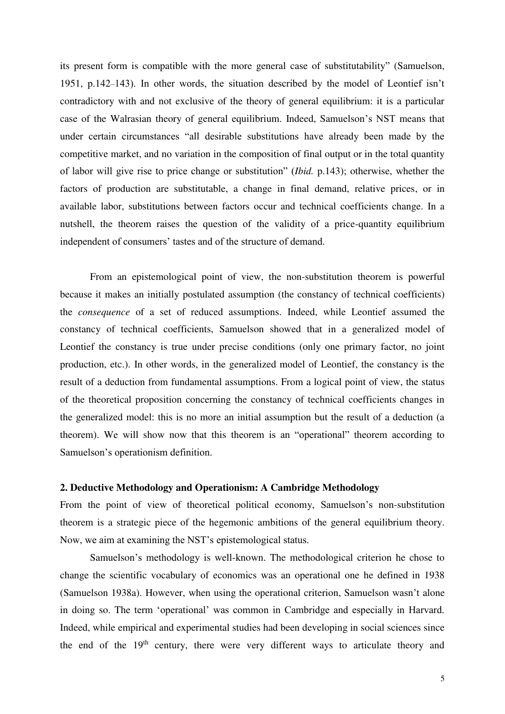its present form is compatible with the more general case of substitutability" (Samuelson, 1951, p.142–143). In other words, the situation described by the model of Leontief isn't contradictory with and not exclusive of the theory of general equilibrium: it is a particular case of the Walrasian theory of general equilibrium. Indeed, Samuelson's NST means that under certain circumstances "all desirable substitutions have already been made by the competitive market, and no variation in the composition of final output or in the total quantity of labor will give rise to price change or substitution" (*Ibid.* p.143); otherwise, whether the factors of production are substitutable, a change in final demand, relative prices, or in available labor, substitutions between factors occur and technical coefficients change. In a nutshell, the theorem raises the question of the validity of a price-quantity equilibrium independent of consumers' tastes and of the structure of demand.

From an epistemological point of view, the non-substitution theorem is powerful because it makes an initially postulated assumption (the constancy of technical coefficients) the *consequence* of a set of reduced assumptions. Indeed, while Leontief assumed the constancy of technical coefficients, Samuelson showed that in a generalized model of Leontief the constancy is true under precise conditions (only one primary factor, no joint production, etc.). In other words, in the generalized model of Leontief, the constancy is the result of a deduction from fundamental assumptions. From a logical point of view, the status of the theoretical proposition concerning the constancy of technical coefficients changes in the generalized model: this is no more an initial assumption but the result of a deduction (a theorem). We will show now that this theorem is an "operational" theorem according to Samuelson's operationism definition.

#### **2. Deductive Methodology and Operationism: A Cambridge Methodology**

From the point of view of theoretical political economy, Samuelson's non-substitution theorem is a strategic piece of the hegemonic ambitions of the general equilibrium theory. Now, we aim at examining the NST's epistemological status.

Samuelson's methodology is well-known. The methodological criterion he chose to change the scientific vocabulary of economics was an operational one he defined in 1938 (Samuelson 1938a). However, when using the operational criterion, Samuelson wasn't alone in doing so. The term 'operational' was common in Cambridge and especially in Harvard. Indeed, while empirical and experimental studies had been developing in social sciences since the end of the  $19<sup>th</sup>$  century, there were very different ways to articulate theory and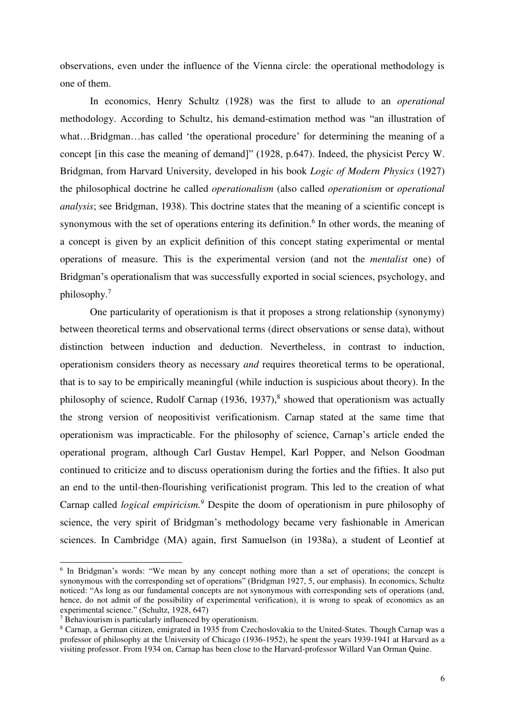observations, even under the influence of the Vienna circle: the operational methodology is one of them.

In economics, Henry Schultz (1928) was the first to allude to an *operational* methodology. According to Schultz, his demand-estimation method was "an illustration of what...Bridgman...has called 'the operational procedure' for determining the meaning of a concept [in this case the meaning of demand]" (1928, p.647). Indeed, the physicist Percy W. Bridgman, from Harvard University, developed in his book *Logic of Modern Physics* (1927) the philosophical doctrine he called *operationalism* (also called *operationism* or *operational analysis*; see Bridgman, 1938). This doctrine states that the meaning of a scientific concept is synonymous with the set of operations entering its definition.<sup>6</sup> In other words, the meaning of a concept is given by an explicit definition of this concept stating experimental or mental operations of measure. This is the experimental version (and not the *mentalist* one) of Bridgman's operationalism that was successfully exported in social sciences, psychology, and philosophy.<sup>7</sup>

One particularity of operationism is that it proposes a strong relationship (synonymy) between theoretical terms and observational terms (direct observations or sense data), without distinction between induction and deduction. Nevertheless, in contrast to induction, operationism considers theory as necessary *and* requires theoretical terms to be operational, that is to say to be empirically meaningful (while induction is suspicious about theory). In the philosophy of science, Rudolf Carnap (1936, 1937),<sup>8</sup> showed that operationism was actually the strong version of neopositivist verificationism. Carnap stated at the same time that operationism was impracticable. For the philosophy of science, Carnap's article ended the operational program, although Carl Gustav Hempel, Karl Popper, and Nelson Goodman continued to criticize and to discuss operationism during the forties and the fifties. It also put an end to the until-then-flourishing verificationist program. This led to the creation of what Carnap called *logical empiricism*.<sup>9</sup> Despite the doom of operationism in pure philosophy of science, the very spirit of Bridgman's methodology became very fashionable in American sciences. In Cambridge (MA) again, first Samuelson (in 1938a), a student of Leontief at

<sup>&</sup>lt;sup>6</sup> In Bridgman's words: "We mean by any concept nothing more than a set of operations; the concept is synonymous with the corresponding set of operations" (Bridgman 1927, 5, our emphasis). In economics, Schultz noticed: "As long as our fundamental concepts are not synonymous with corresponding sets of operations (and, hence, do not admit of the possibility of experimental verification), it is wrong to speak of economics as an experimental science." (Schultz, 1928, 647)

<sup>7</sup> Behaviourism is particularly influenced by operationism.

<sup>&</sup>lt;sup>8</sup> Carnap, a German citizen, emigrated in 1935 from Czechoslovakia to the United-States. Though Carnap was a professor of philosophy at the University of Chicago (1936-1952), he spent the years 1939-1941 at Harvard as a visiting professor. From 1934 on, Carnap has been close to the Harvard-professor Willard Van Orman Quine.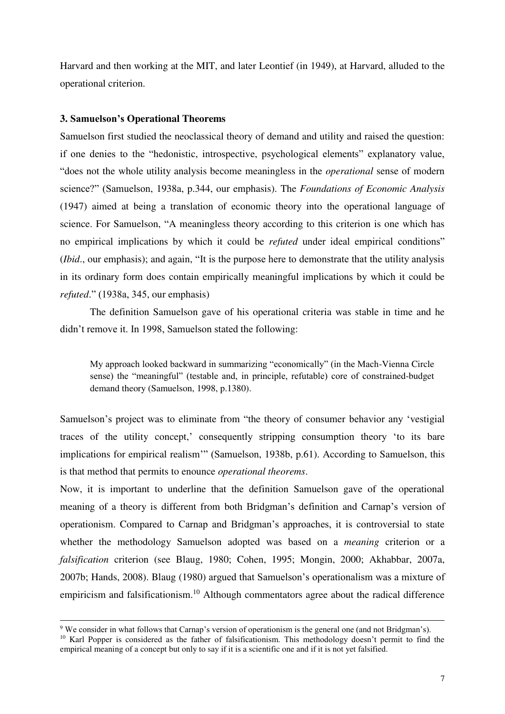Harvard and then working at the MIT, and later Leontief (in 1949), at Harvard, alluded to the operational criterion.

#### **3. Samuelson's Operational Theorems**

j

Samuelson first studied the neoclassical theory of demand and utility and raised the question: if one denies to the "hedonistic, introspective, psychological elements" explanatory value, "does not the whole utility analysis become meaningless in the *operational* sense of modern science?" (Samuelson, 1938a, p.344, our emphasis). The *Foundations of Economic Analysis* (1947) aimed at being a translation of economic theory into the operational language of science. For Samuelson, "A meaningless theory according to this criterion is one which has no empirical implications by which it could be *refuted* under ideal empirical conditions" (*Ibid*., our emphasis); and again, "It is the purpose here to demonstrate that the utility analysis in its ordinary form does contain empirically meaningful implications by which it could be *refuted*." (1938a, 345, our emphasis)

The definition Samuelson gave of his operational criteria was stable in time and he didn't remove it. In 1998, Samuelson stated the following:

My approach looked backward in summarizing "economically" (in the Mach-Vienna Circle sense) the "meaningful" (testable and, in principle, refutable) core of constrained-budget demand theory (Samuelson, 1998, p.1380).

Samuelson's project was to eliminate from "the theory of consumer behavior any 'vestigial traces of the utility concept,' consequently stripping consumption theory 'to its bare implications for empirical realism'" (Samuelson, 1938b, p.61). According to Samuelson, this is that method that permits to enounce *operational theorems*.

Now, it is important to underline that the definition Samuelson gave of the operational meaning of a theory is different from both Bridgman's definition and Carnap's version of operationism. Compared to Carnap and Bridgman's approaches, it is controversial to state whether the methodology Samuelson adopted was based on a *meaning* criterion or a *falsification* criterion (see Blaug, 1980; Cohen, 1995; Mongin, 2000; Akhabbar, 2007a, 2007b; Hands, 2008). Blaug (1980) argued that Samuelson's operationalism was a mixture of empiricism and falsificationism.<sup>10</sup> Although commentators agree about the radical difference

<sup>9</sup> We consider in what follows that Carnap's version of operationism is the general one (and not Bridgman's). <sup>10</sup> Karl Popper is considered as the father of falsificationism. This methodology doesn't permit to find the empirical meaning of a concept but only to say if it is a scientific one and if it is not yet falsified.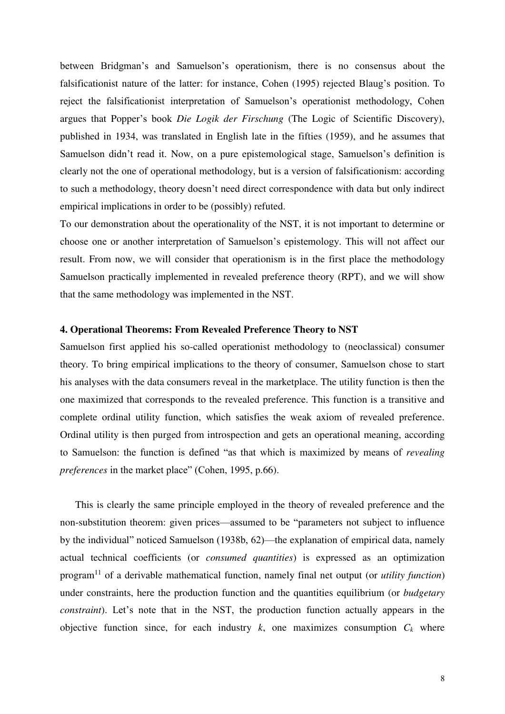between Bridgman's and Samuelson's operationism, there is no consensus about the falsificationist nature of the latter: for instance, Cohen (1995) rejected Blaug's position. To reject the falsificationist interpretation of Samuelson's operationist methodology, Cohen argues that Popper's book *Die Logik der Firschung* (The Logic of Scientific Discovery), published in 1934, was translated in English late in the fifties (1959), and he assumes that Samuelson didn't read it. Now, on a pure epistemological stage, Samuelson's definition is clearly not the one of operational methodology, but is a version of falsificationism: according to such a methodology, theory doesn't need direct correspondence with data but only indirect empirical implications in order to be (possibly) refuted.

To our demonstration about the operationality of the NST, it is not important to determine or choose one or another interpretation of Samuelson's epistemology. This will not affect our result. From now, we will consider that operationism is in the first place the methodology Samuelson practically implemented in revealed preference theory (RPT), and we will show that the same methodology was implemented in the NST.

#### **4. Operational Theorems: From Revealed Preference Theory to NST**

Samuelson first applied his so-called operationist methodology to (neoclassical) consumer theory. To bring empirical implications to the theory of consumer, Samuelson chose to start his analyses with the data consumers reveal in the marketplace. The utility function is then the one maximized that corresponds to the revealed preference. This function is a transitive and complete ordinal utility function, which satisfies the weak axiom of revealed preference. Ordinal utility is then purged from introspection and gets an operational meaning, according to Samuelson: the function is defined "as that which is maximized by means of *revealing preferences* in the market place" (Cohen, 1995, p.66).

This is clearly the same principle employed in the theory of revealed preference and the non-substitution theorem: given prices—assumed to be "parameters not subject to influence by the individual" noticed Samuelson (1938b, 62)—the explanation of empirical data, namely actual technical coefficients (or *consumed quantities*) is expressed as an optimization program<sup>11</sup> of a derivable mathematical function, namely final net output (or *utility function*) under constraints, here the production function and the quantities equilibrium (or *budgetary constraint*). Let's note that in the NST, the production function actually appears in the objective function since, for each industry  $k$ , one maximizes consumption  $C_k$  where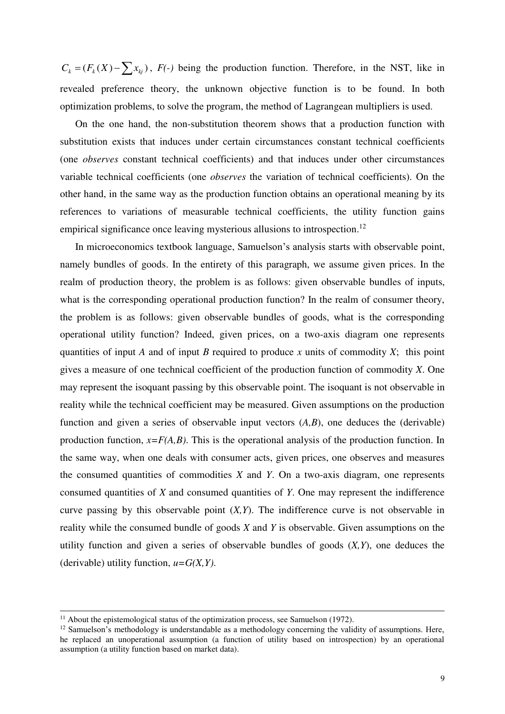$C_k = (F_k(X) - \sum x_{kj})$ ,  $F(\cdot)$  being the production function. Therefore, in the NST, like in revealed preference theory, the unknown objective function is to be found. In both optimization problems, to solve the program, the method of Lagrangean multipliers is used.

On the one hand, the non-substitution theorem shows that a production function with substitution exists that induces under certain circumstances constant technical coefficients (one *observes* constant technical coefficients) and that induces under other circumstances variable technical coefficients (one *observes* the variation of technical coefficients). On the other hand, in the same way as the production function obtains an operational meaning by its references to variations of measurable technical coefficients, the utility function gains empirical significance once leaving mysterious allusions to introspection.<sup>12</sup>

In microeconomics textbook language, Samuelson's analysis starts with observable point, namely bundles of goods. In the entirety of this paragraph, we assume given prices. In the realm of production theory, the problem is as follows: given observable bundles of inputs, what is the corresponding operational production function? In the realm of consumer theory, the problem is as follows: given observable bundles of goods, what is the corresponding operational utility function? Indeed, given prices, on a two-axis diagram one represents quantities of input *A* and of input *B* required to produce *x* units of commodity *X*; this point gives a measure of one technical coefficient of the production function of commodity *X*. One may represent the isoquant passing by this observable point. The isoquant is not observable in reality while the technical coefficient may be measured. Given assumptions on the production function and given a series of observable input vectors (*A,B*), one deduces the (derivable) production function, *x=F(A,B)*. This is the operational analysis of the production function. In the same way, when one deals with consumer acts, given prices, one observes and measures the consumed quantities of commodities *X* and *Y*. On a two-axis diagram, one represents consumed quantities of *X* and consumed quantities of *Y*. One may represent the indifference curve passing by this observable point (*X,Y*). The indifference curve is not observable in reality while the consumed bundle of goods *X* and *Y* is observable. Given assumptions on the utility function and given a series of observable bundles of goods (*X,Y*), one deduces the (derivable) utility function, *u=G(X,Y)*.

 $11$  About the epistemological status of the optimization process, see Samuelson (1972).

 $12$  Samuelson's methodology is understandable as a methodology concerning the validity of assumptions. Here, he replaced an unoperational assumption (a function of utility based on introspection) by an operational assumption (a utility function based on market data).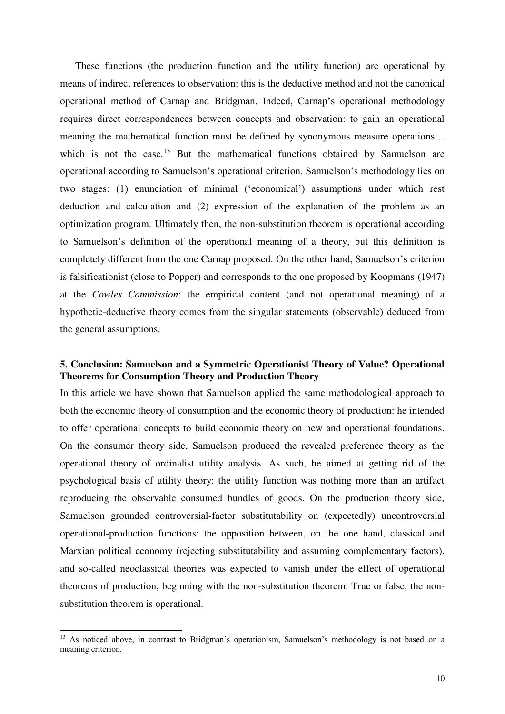These functions (the production function and the utility function) are operational by means of indirect references to observation: this is the deductive method and not the canonical operational method of Carnap and Bridgman. Indeed, Carnap's operational methodology requires direct correspondences between concepts and observation: to gain an operational meaning the mathematical function must be defined by synonymous measure operations… which is not the case.<sup>13</sup> But the mathematical functions obtained by Samuelson are operational according to Samuelson's operational criterion. Samuelson's methodology lies on two stages: (1) enunciation of minimal ('economical') assumptions under which rest deduction and calculation and (2) expression of the explanation of the problem as an optimization program. Ultimately then, the non-substitution theorem is operational according to Samuelson's definition of the operational meaning of a theory, but this definition is completely different from the one Carnap proposed. On the other hand, Samuelson's criterion is falsificationist (close to Popper) and corresponds to the one proposed by Koopmans (1947) at the *Cowles Commission*: the empirical content (and not operational meaning) of a hypothetic-deductive theory comes from the singular statements (observable) deduced from the general assumptions.

#### **5. Conclusion: Samuelson and a Symmetric Operationist Theory of Value? Operational Theorems for Consumption Theory and Production Theory**

In this article we have shown that Samuelson applied the same methodological approach to both the economic theory of consumption and the economic theory of production: he intended to offer operational concepts to build economic theory on new and operational foundations. On the consumer theory side, Samuelson produced the revealed preference theory as the operational theory of ordinalist utility analysis. As such, he aimed at getting rid of the psychological basis of utility theory: the utility function was nothing more than an artifact reproducing the observable consumed bundles of goods. On the production theory side, Samuelson grounded controversial-factor substitutability on (expectedly) uncontroversial operational-production functions: the opposition between, on the one hand, classical and Marxian political economy (rejecting substitutability and assuming complementary factors), and so-called neoclassical theories was expected to vanish under the effect of operational theorems of production, beginning with the non-substitution theorem. True or false, the nonsubstitution theorem is operational.

<sup>&</sup>lt;sup>13</sup> As noticed above, in contrast to Bridgman's operationism, Samuelson's methodology is not based on a meaning criterion.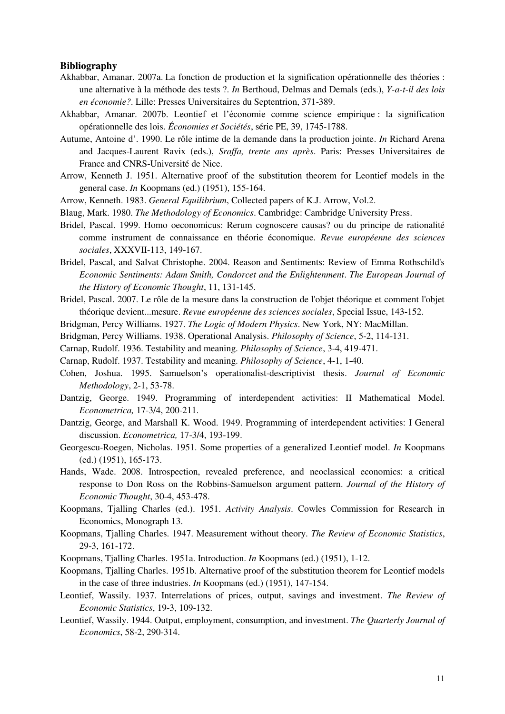#### **Bibliography**

- Akhabbar, Amanar. 2007a. La fonction de production et la signification opérationnelle des théories : une alternative à la méthode des tests ?. *In* Berthoud, Delmas and Demals (eds.), *Y-a-t-il des lois en économie?*. Lille: Presses Universitaires du Septentrion, 371-389.
- Akhabbar, Amanar. 2007b. Leontief et l'économie comme science empirique : la signification opérationnelle des lois. *Économies et Sociétés*, série PE, 39, 1745-1788.
- Autume, Antoine d'. 1990. Le rôle intime de la demande dans la production jointe. *In* Richard Arena and Jacques-Laurent Ravix (eds.), *Sraffa, trente ans après*. Paris: Presses Universitaires de France and CNRS-Université de Nice.
- Arrow, Kenneth J. 1951. Alternative proof of the substitution theorem for Leontief models in the general case. *In* Koopmans (ed.) (1951), 155-164.
- Arrow, Kenneth. 1983. *General Equilibrium*, Collected papers of K.J. Arrow, Vol.2.
- Blaug, Mark. 1980. *The Methodology of Economics*. Cambridge: Cambridge University Press.
- Bridel, Pascal. 1999. Homo oeconomicus: Rerum cognoscere causas? ou du principe de rationalité comme instrument de connaissance en théorie économique. *Revue européenne des sciences sociales*, XXXVII-113, 149-167.
- Bridel, Pascal, and Salvat Christophe. 2004. Reason and Sentiments: Review of Emma Rothschild's *Economic Sentiments: Adam Smith, Condorcet and the Enlightenment*. *The European Journal of the History of Economic Thought*, 11, 131-145.
- Bridel, Pascal. 2007. Le rôle de la mesure dans la construction de l'objet théorique et comment l'objet théorique devient...mesure. *Revue européenne des sciences sociales*, Special Issue, 143-152.
- Bridgman, Percy Williams. 1927. *The Logic of Modern Physics*. New York, NY: MacMillan.
- Bridgman, Percy Williams. 1938. Operational Analysis. *Philosophy of Science*, 5-2, 114-131.
- Carnap, Rudolf. 1936. Testability and meaning. *Philosophy of Science*, 3-4, 419-471.
- Carnap, Rudolf. 1937. Testability and meaning. *Philosophy of Science*, 4-1, 1-40.
- Cohen, Joshua. 1995. Samuelson's operationalist-descriptivist thesis. *Journal of Economic Methodology*, 2-1, 53-78.
- Dantzig, George. 1949. Programming of interdependent activities: II Mathematical Model. *Econometrica,* 17-3/4, 200-211.
- Dantzig, George, and Marshall K. Wood. 1949. Programming of interdependent activities: I General discussion. *Econometrica,* 17-3/4, 193-199.
- Georgescu-Roegen, Nicholas. 1951. Some properties of a generalized Leontief model. *In* Koopmans (ed.) (1951), 165-173.
- Hands, Wade. 2008. Introspection, revealed preference, and neoclassical economics: a critical response to Don Ross on the Robbins-Samuelson argument pattern. *Journal of the History of Economic Thought*, 30-4, 453-478.
- Koopmans, Tjalling Charles (ed.). 1951. *Activity Analysis*. Cowles Commission for Research in Economics, Monograph 13.
- Koopmans, Tjalling Charles. 1947. Measurement without theory. *The Review of Economic Statistics*, 29-3, 161-172.
- Koopmans, Tjalling Charles. 1951a. Introduction. *In* Koopmans (ed.) (1951), 1-12.
- Koopmans, Tjalling Charles. 1951b. Alternative proof of the substitution theorem for Leontief models in the case of three industries. *In* Koopmans (ed.) (1951), 147-154.
- Leontief, Wassily. 1937. Interrelations of prices, output, savings and investment. *The Review of Economic Statistics*, 19-3, 109-132.
- Leontief, Wassily. 1944. Output, employment, consumption, and investment. *The Quarterly Journal of Economics*, 58-2, 290-314.